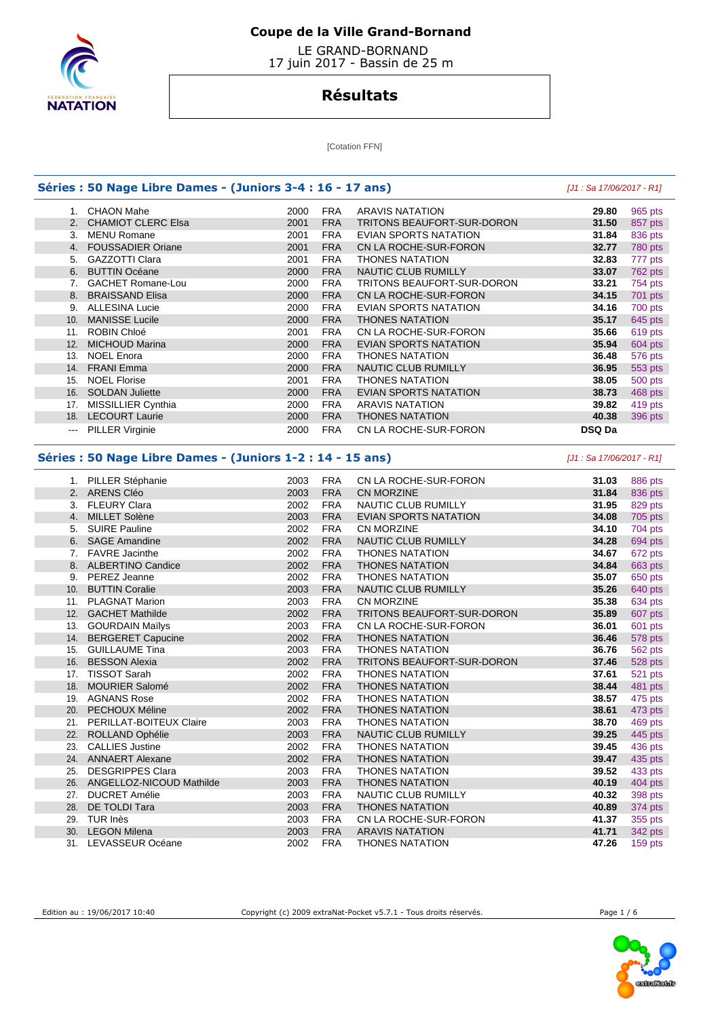

 LE GRAND-BORNAND 17 juin 2017 - Bassin de 25 m

# **Résultats**

[Cotation FFN]

|     | Séries : 50 Nage Libre Dames - (Juniors 3-4 : 16 - 17 ans) |      |            |                              | [J1 : Sa 17/06/2017 - R1] |                                                                                                                                                                                                                                                                                                       |
|-----|------------------------------------------------------------|------|------------|------------------------------|---------------------------|-------------------------------------------------------------------------------------------------------------------------------------------------------------------------------------------------------------------------------------------------------------------------------------------------------|
|     | 1. CHAON Mahe                                              | 2000 | <b>FRA</b> | <b>ARAVIS NATATION</b>       | 29.80                     | 965 pts                                                                                                                                                                                                                                                                                               |
| 2.  | <b>CHAMIOT CLERC Elsa</b>                                  | 2001 | <b>FRA</b> | TRITONS BEAUFORT-SUR-DORON   | 31.50                     | 857 pts                                                                                                                                                                                                                                                                                               |
| 3.  | <b>MENU Romane</b>                                         | 2001 | <b>FRA</b> | EVIAN SPORTS NATATION        | 31.84                     | 836 pts                                                                                                                                                                                                                                                                                               |
|     | 4. FOUSSADIER Oriane                                       | 2001 | <b>FRA</b> | CN LA ROCHE-SUR-FORON        | 32.77                     | 780 pts                                                                                                                                                                                                                                                                                               |
| 5.  | <b>GAZZOTTI Clara</b>                                      | 2001 | <b>FRA</b> | THONES NATATION              | 32.83                     | 777 pts                                                                                                                                                                                                                                                                                               |
| 6.  | <b>BUTTIN Océane</b>                                       | 2000 | <b>FRA</b> | NAUTIC CLUB RUMILLY          | 33.07                     | <b>762 pts</b>                                                                                                                                                                                                                                                                                        |
|     | 7. GACHET Romane-Lou                                       | 2000 | <b>FRA</b> | TRITONS BEAUFORT-SUR-DORON   | 33.21                     | 754 pts                                                                                                                                                                                                                                                                                               |
| 8.  | <b>BRAISSAND Elisa</b>                                     | 2000 | <b>FRA</b> | CN LA ROCHE-SUR-FORON        | 34.15                     | 701 pts                                                                                                                                                                                                                                                                                               |
|     | 9. ALLESINA Lucie                                          | 2000 | <b>FRA</b> | <b>EVIAN SPORTS NATATION</b> | 34.16                     | 700 pts                                                                                                                                                                                                                                                                                               |
| 10. | <b>MANISSE Lucile</b>                                      | 2000 | <b>FRA</b> | <b>THONES NATATION</b>       | 35.17                     | 645 pts                                                                                                                                                                                                                                                                                               |
|     | 11. ROBIN Chloé                                            | 2001 | <b>FRA</b> | CN LA ROCHE-SUR-FORON        | 35.66                     | 619 pts                                                                                                                                                                                                                                                                                               |
| 12. | <b>MICHOUD Marina</b>                                      | 2000 | <b>FRA</b> | <b>EVIAN SPORTS NATATION</b> | 35.94                     | 604 pts                                                                                                                                                                                                                                                                                               |
|     | 13. NOEL Enora                                             | 2000 | <b>FRA</b> | <b>THONES NATATION</b>       | 36.48                     | 576 pts                                                                                                                                                                                                                                                                                               |
|     | 14. FRANI Emma                                             | 2000 | <b>FRA</b> | <b>NAUTIC CLUB RUMILLY</b>   | 36.95                     | 553 pts                                                                                                                                                                                                                                                                                               |
|     | 15. NOEL Florise                                           | 2001 | <b>FRA</b> | <b>THONES NATATION</b>       | 38.05                     | 500 pts                                                                                                                                                                                                                                                                                               |
|     | 16. SOLDAN Juliette                                        | 2000 | <b>FRA</b> | EVIAN SPORTS NATATION        | 38.73                     | 468 pts                                                                                                                                                                                                                                                                                               |
|     | 17. MISSILLIER Cynthia                                     | 2000 | <b>FRA</b> | <b>ARAVIS NATATION</b>       | 39.82                     | 419 pts                                                                                                                                                                                                                                                                                               |
|     | 18. LECOURT Laurie                                         | 2000 | <b>FRA</b> | <b>THONES NATATION</b>       | 40.38                     |                                                                                                                                                                                                                                                                                                       |
|     |                                                            |      |            |                              |                           | 396 pts                                                                                                                                                                                                                                                                                               |
|     | --- PILLER Virginie                                        | 2000 | <b>FRA</b> | CN LA ROCHE-SUR-FORON        | DSQ Da                    |                                                                                                                                                                                                                                                                                                       |
|     | Séries : 50 Nage Libre Dames - (Juniors 1-2 : 14 - 15 ans) |      |            |                              | [J1 : Sa 17/06/2017 - R1] |                                                                                                                                                                                                                                                                                                       |
|     | 1. PILLER Stéphanie                                        | 2003 | <b>FRA</b> | CN LA ROCHE-SUR-FORON        | 31.03                     | 886 pts                                                                                                                                                                                                                                                                                               |
|     | 2. ARENS Cléo                                              | 2003 | <b>FRA</b> | <b>CN MORZINE</b>            | 31.84                     | 836 pts                                                                                                                                                                                                                                                                                               |
|     | 3. FLEURY Clara                                            | 2002 | <b>FRA</b> | NAUTIC CLUB RUMILLY          | 31.95                     | 829 pts                                                                                                                                                                                                                                                                                               |
|     |                                                            |      |            |                              |                           |                                                                                                                                                                                                                                                                                                       |
|     | 4. MILLET Solène                                           | 2003 | <b>FRA</b> | <b>EVIAN SPORTS NATATION</b> | 34.08                     |                                                                                                                                                                                                                                                                                                       |
| 5.  | <b>SUIRE Pauline</b>                                       | 2002 | <b>FRA</b> | <b>CN MORZINE</b>            | 34.10                     |                                                                                                                                                                                                                                                                                                       |
| 6.  |                                                            |      |            |                              |                           |                                                                                                                                                                                                                                                                                                       |
|     | <b>SAGE Amandine</b>                                       | 2002 | <b>FRA</b> | <b>NAUTIC CLUB RUMILLY</b>   | 34.28                     |                                                                                                                                                                                                                                                                                                       |
|     | 7. FAVRE Jacinthe                                          | 2002 | <b>FRA</b> | <b>THONES NATATION</b>       | 34.67                     |                                                                                                                                                                                                                                                                                                       |
|     | 8. ALBERTINO Candice                                       | 2002 | <b>FRA</b> | <b>THONES NATATION</b>       | 34.84                     |                                                                                                                                                                                                                                                                                                       |
|     | 9. PEREZ Jeanne                                            | 2002 | <b>FRA</b> | <b>THONES NATATION</b>       | 35.07                     |                                                                                                                                                                                                                                                                                                       |
|     | 10. BUTTIN Coralie                                         | 2003 | <b>FRA</b> | NAUTIC CLUB RUMILLY          | 35.26                     |                                                                                                                                                                                                                                                                                                       |
|     | 11. PLAGNAT Marion                                         | 2003 | <b>FRA</b> | <b>CN MORZINE</b>            | 35.38                     |                                                                                                                                                                                                                                                                                                       |
|     | 12. GACHET Mathilde                                        | 2002 | <b>FRA</b> | TRITONS BEAUFORT-SUR-DORON   | 35.89                     |                                                                                                                                                                                                                                                                                                       |
|     | 13. GOURDAIN Mailys                                        | 2003 | <b>FRA</b> | CN LA ROCHE-SUR-FORON        | 36.01                     |                                                                                                                                                                                                                                                                                                       |
|     | 14. BERGERET Capucine                                      | 2002 | <b>FRA</b> | <b>THONES NATATION</b>       | 36.46                     |                                                                                                                                                                                                                                                                                                       |
| 15. | <b>GUILLAUME Tina</b>                                      | 2003 | <b>FRA</b> | <b>THONES NATATION</b>       | 36.76                     |                                                                                                                                                                                                                                                                                                       |
|     | 16. BESSON Alexia                                          | 2002 | <b>FRA</b> | TRITONS BEAUFORT-SUR-DORON   | 37.46                     |                                                                                                                                                                                                                                                                                                       |
| 17. | <b>TISSOT Sarah</b>                                        | 2002 | <b>FRA</b> | <b>THONES NATATION</b>       | 37.61                     |                                                                                                                                                                                                                                                                                                       |
| 18. | <b>MOURIER Salomé</b>                                      | 2002 | <b>FRA</b> | <b>THONES NATATION</b>       | 38.44                     |                                                                                                                                                                                                                                                                                                       |
|     | 19. AGNANS Rose                                            | 2002 | <b>FRA</b> | <b>THONES NATATION</b>       | 38.57                     |                                                                                                                                                                                                                                                                                                       |
|     | 20. PECHOUX Méline                                         | 2002 | <b>FRA</b> | <b>THONES NATATION</b>       | 38.61                     |                                                                                                                                                                                                                                                                                                       |
| 21. | PERILLAT-BOITEUX Claire                                    | 2003 | <b>FRA</b> | <b>THONES NATATION</b>       | 38.70                     |                                                                                                                                                                                                                                                                                                       |
|     | 22. ROLLAND Ophélie                                        | 2003 | <b>FRA</b> | NAUTIC CLUB RUMILLY          | 39.25                     |                                                                                                                                                                                                                                                                                                       |
| 23. | <b>CALLIES Justine</b>                                     | 2002 | <b>FRA</b> | <b>THONES NATATION</b>       | 39.45                     |                                                                                                                                                                                                                                                                                                       |
|     | 24. ANNAERT Alexane                                        | 2002 | <b>FRA</b> | <b>THONES NATATION</b>       | 39.47                     |                                                                                                                                                                                                                                                                                                       |
|     | 25. DESGRIPPES Clara                                       | 2003 | <b>FRA</b> | <b>THONES NATATION</b>       | 39.52                     |                                                                                                                                                                                                                                                                                                       |
|     | 26. ANGELLOZ-NICOUD Mathilde                               | 2003 | <b>FRA</b> | <b>THONES NATATION</b>       | 40.19                     |                                                                                                                                                                                                                                                                                                       |
|     | 27. DUCRET Amélie                                          | 2003 | <b>FRA</b> | NAUTIC CLUB RUMILLY          | 40.32                     |                                                                                                                                                                                                                                                                                                       |
|     | 28. DE TOLDI Tara                                          | 2003 | <b>FRA</b> | <b>THONES NATATION</b>       | 40.89                     |                                                                                                                                                                                                                                                                                                       |
| 29. | TUR Inès                                                   | 2003 | <b>FRA</b> | CN LA ROCHE-SUR-FORON        | 41.37                     |                                                                                                                                                                                                                                                                                                       |
|     | 30. LEGON Milena                                           | 2003 | <b>FRA</b> | <b>ARAVIS NATATION</b>       | 41.71                     | 705 pts<br>704 pts<br>694 pts<br>672 pts<br>663 pts<br>650 pts<br>640 pts<br>634 pts<br>607 pts<br>601 pts<br>578 pts<br>562 pts<br>528 pts<br>521 pts<br>481 pts<br>475 pts<br>473 pts<br>469 pts<br>445 pts<br>436 pts<br>435 pts<br>433 pts<br>404 pts<br>398 pts<br>374 pts<br>355 pts<br>342 pts |



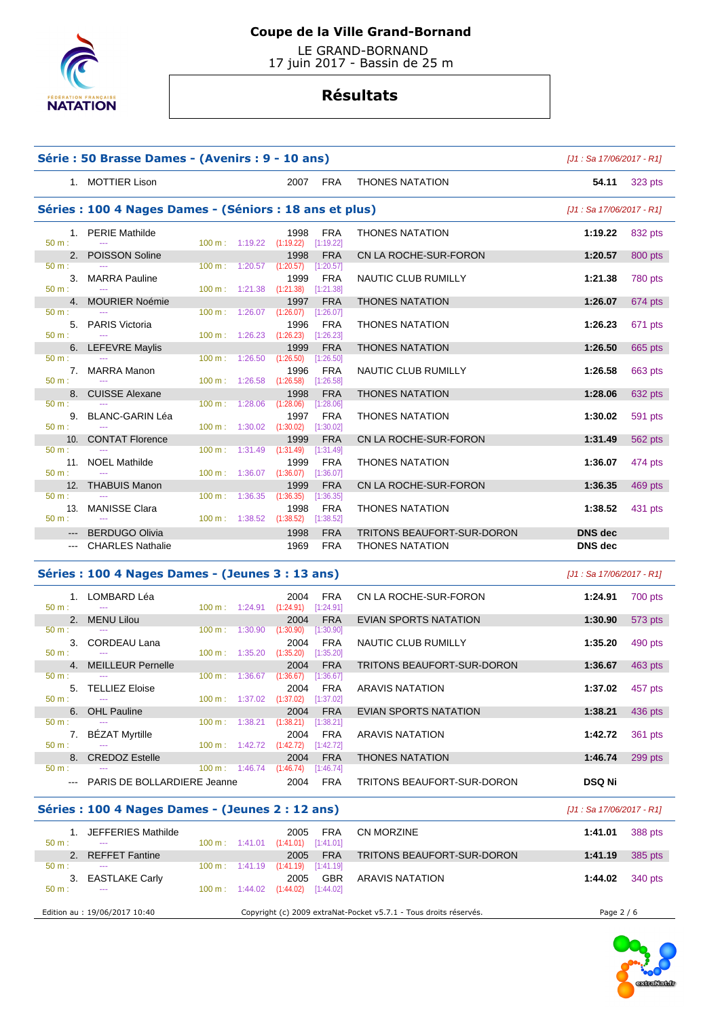

 LE GRAND-BORNAND 17 juin 2017 - Bassin de 25 m

# **Résultats**

|                      | Série : 50 Brasse Dames - (Avenirs : 9 - 10 ans)        |                          |                                                          |                                       |                              | $[J1: Sa 17/06/2017 - R1]$ |           |
|----------------------|---------------------------------------------------------|--------------------------|----------------------------------------------------------|---------------------------------------|------------------------------|----------------------------|-----------|
|                      | 1. MOTTIER Lison                                        |                          |                                                          | 2007 FRA                              | <b>THONES NATATION</b>       | 54.11                      | 323 pts   |
|                      | Séries : 100 4 Nages Dames - (Séniors : 18 ans et plus) |                          |                                                          |                                       |                              | [J1 : Sa 17/06/2017 - R1]  |           |
|                      | 1. PERIE Mathilde                                       |                          | 1998                                                     | FRA                                   | <b>THONES NATATION</b>       | 1:19.22                    | 832 pts   |
| $50 m$ :<br>2.       | $\mathbb{Z} \to \mathbb{Z}$<br>POISSON Soline           | 100 m: 1:19.22           | 1998                                                     | $(1:19.22)$ $[1:19.22]$<br><b>FRA</b> | CN LA ROCHE-SUR-FORON        | 1:20.57                    | 800 pts   |
| 50 m:                | 3. MARRA Pauline                                        | 100 m:                   | $1:20.57$ $(1:20.57)$ $[1:20.57]$<br>1999                | <b>FRA</b>                            | NAUTIC CLUB RUMILLY          | 1:21.38                    | 780 pts   |
| 50 m:                | 4. MOURIER Noémie                                       | $100 \text{ m}: 1:21.38$ | (1:21.38)<br>1997                                        | [1:21.38]<br><b>FRA</b>               | <b>THONES NATATION</b>       | 1:26.07                    | 674 pts   |
| 50 m:                |                                                         | 100 m: 1:26.07           | (1:26.07)                                                | [1:26.07]                             |                              |                            |           |
| $50 m$ :             | 5. PARIS Victoria                                       |                          | 1996<br>$100 \text{ m}: 1:26.23$ $(1:26.23)$             | FRA<br>$[1:26.23]$                    | <b>THONES NATATION</b>       | 1:26.23                    | 671 pts   |
| 6.<br>50 m:          | <b>LEFEVRE Maylis</b>                                   | 100 m:                   | 1999<br>1:26.50<br>(1:26.50)                             | <b>FRA</b><br>[1:26.50]               | <b>THONES NATATION</b>       | 1:26.50                    | 665 pts   |
|                      | 7. MARRA Manon                                          |                          | 1996                                                     | FRA                                   | NAUTIC CLUB RUMILLY          | 1:26.58                    | 663 pts   |
| 50 m:<br>8.          | $\sim$<br><b>CUISSE Alexane</b>                         | 100 m: 1:26.58           | (1:26.58)<br>1998                                        | [1:26.58]<br><b>FRA</b>               | <b>THONES NATATION</b>       | 1:28.06                    | 632 pts   |
| 50 m:                | 9. BLANC-GARIN Léa                                      | $100 \text{ m}$ :        | 1:28.06<br>(1:28.06)<br>1997                             | [1:28.06]<br><b>FRA</b>               | <b>THONES NATATION</b>       | 1:30.02                    | 591 pts   |
| 50 m:                |                                                         | 100 m: 1:30.02           | (1:30.02)                                                | [1:30.02]                             |                              |                            |           |
| 50 m:                | 10. CONTAT Florence                                     | $100 \text{ m}: 1:31.49$ | 1999<br>(1:31.49)                                        | <b>FRA</b><br>[1:31.49]               | CN LA ROCHE-SUR-FORON        | 1:31.49                    | 562 pts   |
| 50 m:                | 11. NOEL Mathilde                                       |                          | 1999<br>$100 \text{ m}: 1:36.07 (1:36.07)$               | <b>FRA</b><br>[1:36.07]               | <b>THONES NATATION</b>       | 1:36.07                    | 474 pts   |
|                      | 12. THABUIS Manon<br>$\sim$ $\sim$                      |                          | 1999                                                     | <b>FRA</b>                            | CN LA ROCHE-SUR-FORON        | 1:36.35                    | 469 pts   |
| 50 m:                | 13. MANISSE Clara                                       | $100 \text{ m}$ :        | 1:36.35<br>(1:36.35)<br>1998                             | [1:36.35]<br><b>FRA</b>               | <b>THONES NATATION</b>       | 1:38.52                    | 431 pts   |
| 50 m:                | <b>BERDUGO Olivia</b>                                   | 100 m: 1:38.52           | (1:38.52)<br>1998                                        | $[1:38.52]$<br><b>FRA</b>             | TRITONS BEAUFORT-SUR-DORON   | <b>DNS</b> dec             |           |
|                      | --- CHARLES Nathalie                                    |                          | 1969                                                     | FRA                                   | <b>THONES NATATION</b>       | <b>DNS</b> dec             |           |
|                      | Séries : 100 4 Nages Dames - (Jeunes 3 : 13 ans)        |                          |                                                          |                                       |                              | $[J1: Sa 17/06/2017 - R1]$ |           |
|                      | 1. LOMBARD Léa                                          |                          | 2004                                                     | FRA                                   | CN LA ROCHE-SUR-FORON        | 1:24.91                    | 700 pts   |
| $50 m$ :             | 2. MENU Lilou                                           |                          | 100 m: 1:24.91 (1:24.91) [1:24.91]<br>2004               | <b>FRA</b>                            | <b>EVIAN SPORTS NATATION</b> | 1:30.90                    | 573 pts   |
| 50 m:                |                                                         | $100 \text{ m}$ :        | 1:30.90<br>(1:30.90)                                     | [1:30.90]                             |                              |                            |           |
| 50 m:                | 3. CORDEAU Lana                                         |                          | 2004<br>$100 \text{ m}: 1:35.20$ $(1:35.20)$ $[1:35.20]$ | <b>FRA</b>                            | NAUTIC CLUB RUMILLY          | 1:35.20                    | 490 pts   |
| 50 m:                | 4. MEILLEUR Pernelle                                    |                          | 100 m : 1:36.67 (1:36.67) [1:36.67]                      | <b>FRA</b><br>2004                    | TRITONS BEAUFORT-SUR-DORON   | 1:36.67                    | 463 pts   |
|                      | 5. TELLIEZ Eloise                                       |                          |                                                          | 2004 FRA                              | <b>ARAVIS NATATION</b>       | 1:37.02                    | 457 pts   |
| 50 m:<br>6.          | <b>OHL Pauline</b>                                      |                          | 100 m: 1:37.02 (1:37.02) [1:37.02]<br>2004               | <b>FRA</b>                            | EVIAN SPORTS NATATION        | 1:38.21                    | 436 pts   |
| $50 m$ :<br>7.       | <b>BÉZAT Myrtille</b>                                   | $100 \text{ m}$ :        | $1:38.21$ $(1:38.21)$ $[1:38.21]$<br>2004                | FRA                                   | <b>ARAVIS NATATION</b>       | 1:42.72                    | 361 pts   |
| 50 m:                |                                                         |                          | 100 m: 1:42.72 (1:42.72) [1:42.72]                       |                                       |                              |                            |           |
| 8.<br>50 m:          | <b>CREDOZ Estelle</b>                                   |                          | 2004<br>$100 \text{ m}: 1:46.74 (1:46.74)$               | <b>FRA</b><br>[1:46.74]               | <b>THONES NATATION</b>       | 1:46.74                    | $299$ pts |
| $\sim$ $\sim$ $\sim$ | PARIS DE BOLLARDIERE Jeanne                             |                          | 2004                                                     | FRA                                   | TRITONS BEAUFORT-SUR-DORON   | DSQ Ni                     |           |
|                      | Séries : 100 4 Nages Dames - (Jeunes 2 : 12 ans)        |                          |                                                          |                                       |                              | [J1 : Sa 17/06/2017 - R1]  |           |
|                      | 1. JEFFERIES Mathilde                                   |                          | 2005                                                     | FRA                                   | <b>CN MORZINE</b>            | 1:41.01                    | 388 pts   |
| 50 m:<br>2.          | <b>REFFET Fantine</b>                                   |                          | $100 \text{ m}: 1:41.01$ $(1:41.01)$ $[1:41.01]$<br>2005 | <b>FRA</b>                            | TRITONS BEAUFORT-SUR-DORON   | 1:41.19                    | 385 pts   |
| $50 m$ :<br>3.       | <b>EASTLAKE Carly</b>                                   | $100 \text{ m}$ :        | $1:41.19$ $(1:41.19)$ $[1:41.19]$<br>2005                | <b>GBR</b>                            | <b>ARAVIS NATATION</b>       | 1:44.02                    | 340 pts   |
| 50 m:                | ---                                                     |                          | $100 \text{ m}: 1:44.02 (1:44.02)$                       | [1:44.02]                             |                              |                            |           |

Edition au : 19/06/2017 10:40 Copyright (c) 2009 extraNat-Pocket v5.7.1 - Tous droits réservés. Page 2 / 6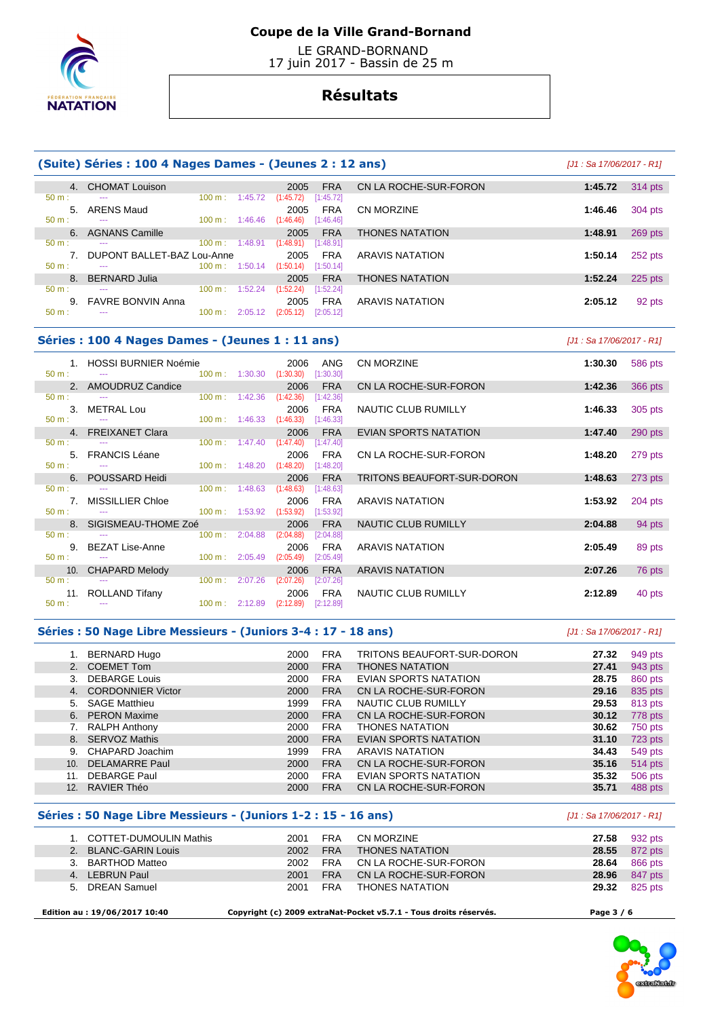

 LE GRAND-BORNAND 17 juin 2017 - Bassin de 25 m

## **Résultats**

### **(Suite) Séries : 100 4 Nages Dames - (Jeunes 2 : 12 ans)** [J1 : Sa 17/06/2017 - R1]

|          |    | 4. CHOMAT Louison             |                           |         | 2005                    | <b>FRA</b> |
|----------|----|-------------------------------|---------------------------|---------|-------------------------|------------|
| $50 m$ : |    | ---                           | $100 \text{ m}$ :         | 1:45.72 | (1:45.72)               | [1:45.72]  |
|          |    | 5. ARENS Maud                 |                           |         | 2005                    | <b>FRA</b> |
| $50 m$ : |    | ---                           | $100 \text{ m}$ : 1:46.46 |         | $(1:46.46)$ [1:46.46]   |            |
|          |    | 6. AGNANS Camille             |                           |         | 2005                    | <b>FRA</b> |
| 50 m:    |    | ---                           | $100 \text{ m}$ :         | 1:48.91 | $(1:48.91)$ $[1:48.91]$ |            |
|          |    |                               |                           |         |                         |            |
|          |    | 7. DUPONT BALLET-BAZ Lou-Anne |                           |         | 2005                    | <b>FRA</b> |
| $50 m$ : |    | $- - -$                       | $100 \text{ m}$ : 1:50.14 |         | $(1:50.14)$ [1:50.14]   |            |
|          | 8. | <b>BERNARD Julia</b>          |                           |         | 2005                    | <b>FRA</b> |
| 50 m:    |    | ---                           | 100 m:                    | 1:52.24 | (1:52.24)               | [1:52.24]  |
|          |    | 9. FAVRE BONVIN Anna          |                           |         | 2005                    | <b>FRA</b> |
| 50 m     |    | ---                           | $100 \text{ m}: 2:05.12$  |         | (2:05.12)               | [2:05.12]  |

| 4. CHOMAT Louison             |                           |         | 2005      | <b>FRA</b> | CN LA ROCHE-SUR-FORON  | 1:45.72 | 314 pts   |
|-------------------------------|---------------------------|---------|-----------|------------|------------------------|---------|-----------|
| ---                           | $100 \text{ m}$ :         | 1:45.72 | (1:45.72) | [1:45.72]  |                        |         |           |
| 5. ARENS Maud                 |                           |         | 2005      | <b>FRA</b> | CN MORZINE             | 1:46.46 | 304 pts   |
| ---                           | $100 \text{ m}$ : 1:46.46 |         | (1:46.46) | [1:46.46]  |                        |         |           |
| 6. AGNANS Camille             |                           |         | 2005      | <b>FRA</b> | <b>THONES NATATION</b> | 1:48.91 | 269 pts   |
| ---                           | $100 \text{ m}$ :         | 1:48.91 | (1:48.91) | [1:48.91]  |                        |         |           |
| 7. DUPONT BALLET-BAZ Lou-Anne |                           |         | 2005      | <b>FRA</b> | <b>ARAVIS NATATION</b> | 1:50.14 | 252 pts   |
| ---                           | $100 \text{ m}$ : 1:50.14 |         | (1:50.14) | [1:50.14]  |                        |         |           |
| 8. BERNARD Julia              |                           |         | 2005      | <b>FRA</b> | <b>THONES NATATION</b> | 1:52.24 | $225$ pts |
| ---                           | 100 m:                    | 1:52.24 | (1:52.24) | [1:52.24]  |                        |         |           |
| 9. FAVRE BONVIN Anna          |                           |         | 2005      | <b>FRA</b> | <b>ARAVIS NATATION</b> | 2:05.12 | 92 pts    |

## **Séries : 100 4 Nages Dames - (Jeunes 1 : 11 ans)** [J1 : Sa 17/06/2017 - R1]

|                      | 1. HOSSI BURNIER Noémie                                                            |                                     |                | 2006                                         | ANG        | <b>CN MORZINE</b>          | 1:30.30 |         |
|----------------------|------------------------------------------------------------------------------------|-------------------------------------|----------------|----------------------------------------------|------------|----------------------------|---------|---------|
| $50 m:$ $-$          | $100 \text{ m}$ : $1:30.30$                                                        |                                     |                | $(1:30.30)$ $[1:30.30]$                      |            |                            |         | 586 pts |
|                      | 2. AMOUDRUZ Candice                                                                |                                     |                | 2006                                         | FRA        | CN LA ROCHE-SUR-FORON      | 1:42.36 | 366 pts |
| $50 \text{ m}$ : $-$ | $100 \text{ m}$ : $1:42.36$                                                        |                                     |                | (1:42.36)                                    | [1:42.36]  |                            |         |         |
|                      |                                                                                    |                                     |                |                                              |            |                            |         |         |
|                      | 3. METRAL Lou                                                                      |                                     |                | 2006                                         | FRA        | NAUTIC CLUB RUMILLY        | 1:46.33 | 305 pts |
| $50 \text{ m}$ :     | $100 \text{ m}$ : $1:46.33$ $(1:46.33)$ $[1:46.33]$<br><b>Contract Contract</b>    |                                     |                |                                              |            |                            |         |         |
|                      | 4. FREIXANET Clara                                                                 |                                     |                | 2006                                         | <b>FRA</b> | EVIAN SPORTS NATATION      | 1:47.40 | 290 pts |
| $50 m:$ $---$        |                                                                                    |                                     |                | $100 \text{ m}: 1:47.40 (1:47.40) [1:47.40]$ |            |                            |         |         |
|                      | 5. FRANCIS Léane                                                                   |                                     |                | 2006                                         | FRA        | CN LA ROCHE-SUR-FORON      | 1:48.20 | 279 pts |
|                      | $50 \text{ m}:$ --- $-$ 100 m : 1:48.20                                            |                                     |                | $(1:48.20)$ [1:48.20]                        |            |                            |         |         |
|                      | 6. POUSSARD Heidi                                                                  |                                     |                | 2006                                         | <b>FRA</b> | TRITONS BEAUFORT-SUR-DORON | 1:48.63 | 273 pts |
| $50 m:$ $---$        | $100 \text{ m}: 1:48.63$ $(1:48.63)$ $[1:48.63]$                                   |                                     |                |                                              |            |                            |         |         |
|                      |                                                                                    |                                     |                |                                              |            |                            |         |         |
|                      | 7. MISSILLIER Chloe                                                                |                                     |                | 2006                                         | FRA        | <b>ARAVIS NATATION</b>     | 1:53.92 | 204 pts |
|                      |                                                                                    |                                     |                |                                              |            |                            |         |         |
|                      | 8. SIGISMEAU-THOME Zoé                                                             |                                     | 2006           |                                              | <b>FRA</b> | NAUTIC CLUB RUMILLY        | 2:04.88 | 94 pts  |
| $50 \text{ m}$ :     |                                                                                    |                                     | 100 m: 2:04.88 | $(2:04.88)$ $[2:04.88]$                      |            |                            |         |         |
|                      | 9. BEZAT Lise-Anne                                                                 |                                     |                | 2006                                         | FRA        | <b>ARAVIS NATATION</b>     | 2:05.49 | 89 pts  |
|                      | $50 \text{ m}$ : $   100 \text{ m}$ : 2:05.49                                      |                                     |                | (2:05.49)                                    | [2:05.49]  |                            |         |         |
|                      | 10. CHAPARD Melody and the control of the control of the control of the control of |                                     |                | 2006                                         | <b>FRA</b> | <b>ARAVIS NATATION</b>     | 2:07.26 | 76 pts  |
| $50 \text{ m}$ : $-$ | $100 \text{ m}$ : $2:07.26$                                                        |                                     |                | $(2:07.26)$ $[2:07.26]$                      |            |                            |         |         |
|                      |                                                                                    |                                     |                |                                              |            |                            |         |         |
|                      | 11. ROLLAND Tifany                                                                 |                                     |                | 2006                                         | FRA        | NAUTIC CLUB RUMILLY        | 2:12.89 | 40 pts  |
|                      | $50 \text{ m}$ : $\qquad -1$                                                       | 100 m : 2:12.89 (2:12.89) [2:12.89] |                |                                              |            |                            |         |         |

| <b>CN MORZINE</b>          | 1:30.30 | 586 pts |
|----------------------------|---------|---------|
| CN LA ROCHE-SUR-FORON      | 1:42.36 | 366 pts |
| NAUTIC CLUB RUMILLY        | 1:46.33 | 305 pts |
| EVIAN SPORTS NATATION      | 1:47.40 | 290 pts |
| CN LA ROCHE-SUR-FORON      | 1:48.20 | 279 pts |
| TRITONS BEAUFORT-SUR-DORON | 1:48.63 | 273 pts |
| ARAVIS NATATION            | 1:53.92 | 204 pts |
| <b>NAUTIC CLUB RUMILLY</b> | 2:04.88 | 94 pts  |
| ARAVIS NATATION            | 2:05.49 | 89 pts  |
| <b>ARAVIS NATATION</b>     | 2:07.26 | 76 pts  |
| NAUTIC CLUB RUMILLY        | 2:12.89 | 40 pts  |

#### **Séries : 50 Nage Libre Messieurs - (Juniors 3-4 : 17 - 18 ans)** [J1 : Sa 17/06/2017 - R1]

|     | BERNARD Hugo             | 2000 | <b>FRA</b> | TRITONS BEAUFORT-SUR-DORON   | 27.32 | 949 pts |
|-----|--------------------------|------|------------|------------------------------|-------|---------|
|     | <b>COEMET Tom</b>        | 2000 | <b>FRA</b> | <b>THONES NATATION</b>       | 27.41 | 943 pts |
| 3.  | <b>DEBARGE Louis</b>     | 2000 | <b>FRA</b> | EVIAN SPORTS NATATION        | 28.75 | 860 pts |
| 4.  | <b>CORDONNIER Victor</b> | 2000 | <b>FRA</b> | CN LA ROCHE-SUR-FORON        | 29.16 | 835 pts |
|     | 5. SAGE Matthieu         | 1999 | <b>FRA</b> | NAUTIC CLUB RUMILLY          | 29.53 | 813 pts |
|     | 6. PERON Maxime          | 2000 | <b>FRA</b> | CN LA ROCHE-SUR-FORON        | 30.12 | 778 pts |
|     | <b>RALPH Anthony</b>     | 2000 | <b>FRA</b> | <b>THONES NATATION</b>       | 30.62 | 750 pts |
|     | 8. SERVOZ Mathis         | 2000 | <b>FRA</b> | <b>EVIAN SPORTS NATATION</b> | 31.10 | 723 pts |
| 9.  | CHAPARD Joachim          | 1999 | <b>FRA</b> | <b>ARAVIS NATATION</b>       | 34.43 | 549 pts |
| 10. | <b>DELAMARRE Paul</b>    | 2000 | <b>FRA</b> | CN LA ROCHE-SUR-FORON        | 35.16 | 514 pts |
| 11. | <b>DEBARGE Paul</b>      | 2000 | <b>FRA</b> | EVIAN SPORTS NATATION        | 35.32 | 506 pts |
| 12. | RAVIER Théo              | 2000 | <b>FRA</b> | CN LA ROCHE-SUR-FORON        | 35.71 | 488 pts |

### **Séries : 50 Nage Libre Messieurs - (Juniors 1-2 : 15 - 16 ans)** [J1 : Sa 17/06/2017 - R1]

| 2.<br>CN LA ROCHE-SUR-FORON<br>28.64<br><b>BARTHOD Matteo</b><br><b>FRA</b><br>2002<br>3.<br>CN LA ROCHE-SUR-FORON<br>4. LEBRUN Paul<br><b>FRA</b><br>28.96<br>2001<br>THONES NATATION<br>29.32<br><b>FRA</b><br>5. DREAN Samuel<br>2001 | CN MORZINE<br>932 pts<br>27.58<br><b>THONES NATATION</b><br>28.55<br>872 pts<br>866 pts<br>847 pts<br>825 pts | FRA<br><b>FRA</b> | 2001<br>2002 | 1. COTTET-DUMOULIN Mathis<br><b>BLANC-GARIN Louis</b> |  |
|------------------------------------------------------------------------------------------------------------------------------------------------------------------------------------------------------------------------------------------|---------------------------------------------------------------------------------------------------------------|-------------------|--------------|-------------------------------------------------------|--|
|------------------------------------------------------------------------------------------------------------------------------------------------------------------------------------------------------------------------------------------|---------------------------------------------------------------------------------------------------------------|-------------------|--------------|-------------------------------------------------------|--|

 **Edition au : 19/06/2017 10:40 Copyright (c) 2009 extraNat-Pocket v5.7.1 - Tous droits réservés. Page 3 / 6** 

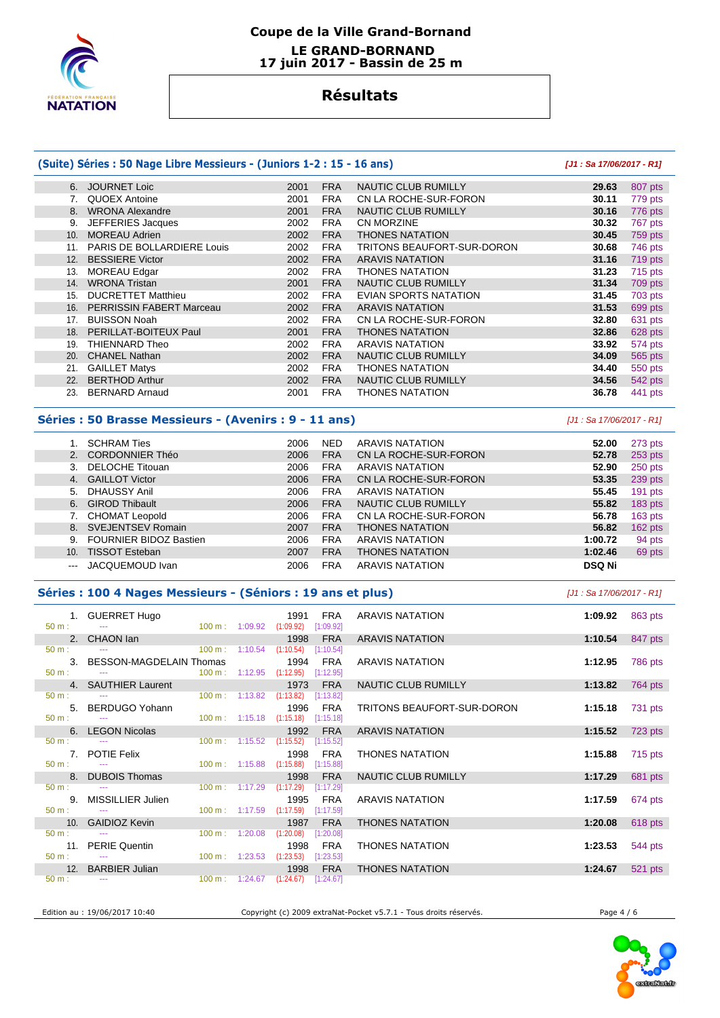

### **Coupe de la Ville Grand-Bornand LE GRAND-BORNAND 17 juin 2017 - Bassin de 25 m**

## **Résultats**

#### **(Suite) Séries : 50 Nage Libre Messieurs - (Juniors 1-2 : 15 - 16 ans) [J1 : Sa 17/06/2017 - R1]** 6. JOURNET Loic 2001 FRA NAUTIC CLUB RUMILLY **29.63** 807 pts 7. QUOEX Antoine 2001 FRA CN LA ROCHE-SUR-FORON **30.11** 779 pts 8. WRONA Alexandre 2001 FRA NAUTIC CLUB RUMILLY **30.16** 776 pts 9. JEFFERIES Jacques 2002 FRA CN MORZINE **30.32** 767 pts 10. MOREAU Adrien 2002 FRA THONES NATATION **30.45** 759 pts 11. PARIS DE BOLLARDIERE Louis 2002 FRA TRITONS BEAUFORT-SUR-DORON **30.68** 746 pts 12. BESSIERE Victor 2002 FRA ARAVIS NATATION **31.16** 719 pts 13. MOREAU Edgar 2002 FRA THONES NATATION **31.23** 715 pts 14. WRONA Tristan 2001 FRA NAUTIC CLUB RUMILLY **31.34** 709 pts 15. DUCRETTET Matthieu 2002 FRA EVIAN SPORTS NATATION **31.45** 703 pts 16. PERRISSIN FABERT Marceau 2002 FRA ARAVIS NATATION **31.53** 699 pts 17. BUISSON Noah 2002 FRA CN LA ROCHE-SUR-FORON **32.80** 631 pts 18. PERILLAT-BOITEUX Paul 2001 FRA THONES NATATION **32.86** 628 pts 19. THIENNARD Theo 2002 FRA ARAVIS NATATION **33.92** 574 pts 20. CHANEL Nathan 2002 FRA NAUTIC CLUB RUMILLY **34.09** 565 pts 21. GAILLET Matys 2002 FRA THONES NATATION **34.40** 550 pts 22. BERTHOD Arthur 2002 FRA NAUTIC CLUB RUMILLY **34.56** 542 pts 23. BERNARD Arnaud 2001 FRA THONES NATATION **36.78** 441 pts

#### **Séries : 50 Brasse Messieurs - (Avenirs : 9 - 11 ans)** [J1 : Sa 17/06/2017 - R1]

|     | <b>SCHRAM Ties</b>            | 2006 | <b>NED</b> | <b>ARAVIS NATATION</b>     | 52.00         | 273 pts   |
|-----|-------------------------------|------|------------|----------------------------|---------------|-----------|
|     | <b>CORDONNIER Théo</b>        | 2006 | <b>FRA</b> | CN LA ROCHE-SUR-FORON      | 52.78         | $253$ pts |
|     | DELOCHE Titouan               | 2006 | <b>FRA</b> | ARAVIS NATATION            | 52.90         | 250 pts   |
|     | 4. GAILLOT Victor             | 2006 | <b>FRA</b> | CN LA ROCHE-SUR-FORON      | 53.35         | 239 pts   |
| 5.  | DHAUSSY Anil                  | 2006 | <b>FRA</b> | <b>ARAVIS NATATION</b>     | 55.45         | $191$ pts |
| 6.  | <b>GIROD Thibault</b>         | 2006 | <b>FRA</b> | <b>NAUTIC CLUB RUMILLY</b> | 55.82         | $183$ pts |
|     | <b>CHOMAT Leopold</b>         | 2006 | <b>FRA</b> | CN LA ROCHE-SUR-FORON      | 56.78         | $163$ pts |
| 8.  | SVEJENTSEV Romain             | 2007 | <b>FRA</b> | <b>THONES NATATION</b>     | 56.82         | $162$ pts |
| 9.  | <b>FOURNIER BIDOZ Bastien</b> | 2006 | <b>FRA</b> | <b>ARAVIS NATATION</b>     | 1:00.72       | 94 pts    |
| 10. | <b>TISSOT Esteban</b>         | 2007 | <b>FRA</b> | <b>THONES NATATION</b>     | 1:02.46       | 69 pts    |
|     | JACQUEMOUD Ivan               | 2006 | <b>FRA</b> | ARAVIS NATATION            | <b>DSQ Ni</b> |           |

#### **Séries : 100 4 Nages Messieurs - (Séniors : 19 ans et plus)** [J1 : Sa 17/06/2017 - R1]

| $50 m$ :             | 1. GUERRET Hugo             |                          | 100 m : 1:09.92 (1:09.92)            | 1991                                             | FRA<br>[1:09.92] | <b>ARAVIS NATATION</b>     | 1:09.92 | 863 pts |
|----------------------|-----------------------------|--------------------------|--------------------------------------|--------------------------------------------------|------------------|----------------------------|---------|---------|
|                      | 2. CHAON lan                |                          |                                      | 1998                                             | <b>FRA</b>       | <b>ARAVIS NATATION</b>     | 1:10.54 | 847 pts |
| $50 m$ :             | <b>Service</b>              | $100 \text{ m}: 1:10.54$ |                                      | $(1:10.54)$ [1:10.54]                            |                  |                            |         |         |
|                      | 3. BESSON-MAGDELAIN Thomas  |                          |                                      |                                                  | 1994 FRA         | ARAVIS NATATION            | 1:12.95 | 786 pts |
| $50 m$ :             | $100 \text{ m}$ : $1:12.95$ |                          |                                      | (1:12.95)                                        | [1:12.95]        |                            |         |         |
|                      |                             |                          |                                      |                                                  |                  |                            |         |         |
|                      | 4. SAUTHIER Laurent         |                          |                                      | 1973                                             | <b>FRA</b>       | NAUTIC CLUB RUMILLY        | 1:13.82 | 764 pts |
| $50 \text{ m}$ :     |                             |                          | $100 \text{ m}: 1:13.82$ $(1:13.82)$ |                                                  | [1:13.82]        |                            |         |         |
|                      | 5. BERDUGO Yohann           |                          |                                      | 1996                                             | FRA              | TRITONS BEAUFORT-SUR-DORON | 1:15.18 | 731 pts |
| $50 \text{ m}$ :     |                             |                          |                                      | 100 m: 1:15.18 (1:15.18) [1:15.18]               |                  |                            |         |         |
|                      | 6. LEGON Nicolas            |                          |                                      | 1992                                             | <b>FRA</b>       | <b>ARAVIS NATATION</b>     | 1:15.52 | 723 pts |
| $50 \text{ m}$ :     |                             |                          |                                      | 100 m: 1:15.52 (1:15.52) [1:15.52]               |                  |                            |         |         |
|                      | 7. POTIE Felix              |                          |                                      | 1998                                             | FRA              | <b>THONES NATATION</b>     | 1:15.88 | 715 pts |
| $50 \text{ m}$ : $-$ |                             |                          |                                      | $100 \text{ m}: 1:15.88$ $(1:15.88)$ $[1:15.88]$ |                  |                            |         |         |
|                      |                             |                          |                                      |                                                  |                  |                            |         |         |
|                      | 8. DUBOIS Thomas            |                          |                                      | 1998                                             | <b>FRA</b>       | NAUTIC CLUB RUMILLY        | 1:17.29 | 681 pts |
| $50 \text{ m}$ :     |                             |                          | $100 \text{ m}: 1:17.29$ $(1:17.29)$ |                                                  | [1:17.29]        |                            |         |         |
|                      | 9. MISSILLIER Julien        |                          |                                      | 1995                                             | FRA              | <b>ARAVIS NATATION</b>     | 1:17.59 | 674 pts |
| $50 \text{ m}$ : $-$ |                             |                          | $100 \text{ m}: 1:17.59$ $(1:17.59)$ |                                                  | [1:17.59]        |                            |         |         |
|                      | 10. GAIDIOZ Kevin           |                          |                                      | 1987                                             | <b>FRA</b>       | <b>THONES NATATION</b>     | 1:20.08 | 618 pts |
| $50 m$ :             |                             |                          | $100 \text{ m}: 1:20.08$             | (1:20.08)                                        | [1:20.08]        |                            |         |         |
|                      | 11. PERIE Quentin           |                          |                                      | 1998                                             | <b>FRA</b>       | <b>THONES NATATION</b>     | 1:23.53 | 544 pts |
| $50 \text{ m}$ : $-$ |                             |                          | $100 \text{ m}: 1:23.53$ $(1:23.53)$ |                                                  | [1:23.53]        |                            |         |         |
|                      |                             |                          |                                      |                                                  |                  |                            |         |         |
|                      | 12. BARBIER Julian          |                          |                                      | 1998                                             | <b>FRA</b>       | <b>THONES NATATION</b>     | 1:24.67 | 521 pts |
| $50 \text{ m}$ :     |                             |                          |                                      | 100 m : $1:24.67$ (1:24.67) [1:24.67]            |                  |                            |         |         |

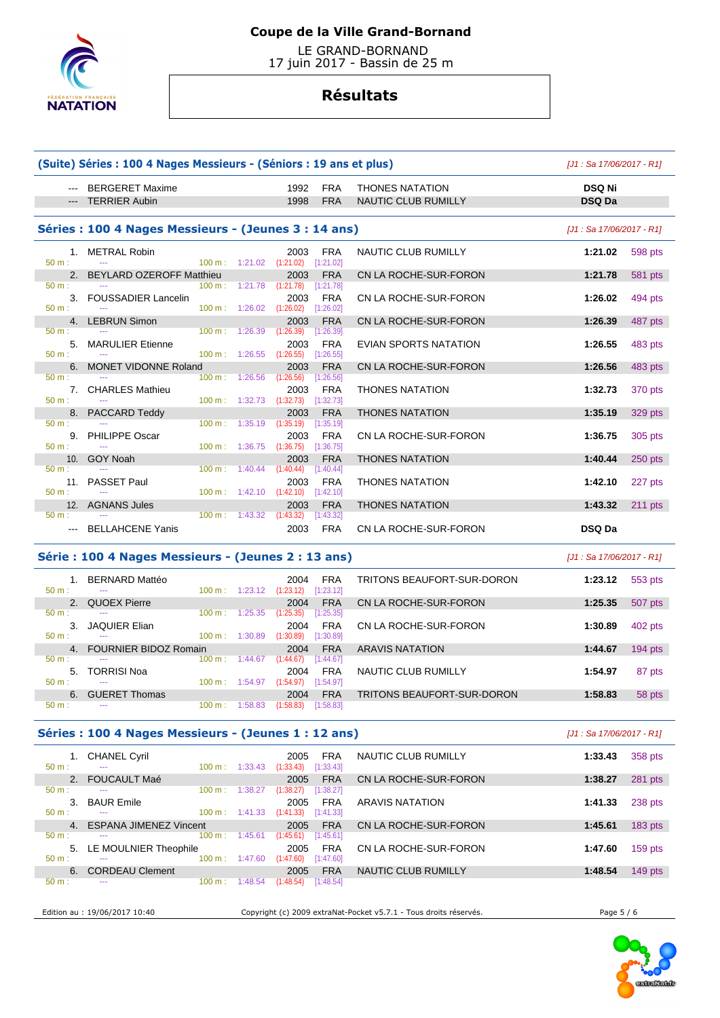

 LE GRAND-BORNAND 17 juin 2017 - Bassin de 25 m

## **Résultats**

|                                                                       | (Suite) Séries : 100 4 Nages Messieurs - (Séniors : 19 ans et plus) |                                      |                                   |                          |                                               | $[J1: Sa 17/06/2017 - R1]$     |                                                                                                 |
|-----------------------------------------------------------------------|---------------------------------------------------------------------|--------------------------------------|-----------------------------------|--------------------------|-----------------------------------------------|--------------------------------|-------------------------------------------------------------------------------------------------|
|                                                                       | <b>BERGERET Maxime</b><br><b>TERRIER Aubin</b>                      |                                      | 1992<br>1998                      | <b>FRA</b><br><b>FRA</b> | <b>THONES NATATION</b><br>NAUTIC CLUB RUMILLY | <b>DSQ Ni</b><br><b>DSQ Da</b> |                                                                                                 |
|                                                                       |                                                                     |                                      |                                   |                          |                                               |                                |                                                                                                 |
|                                                                       | Séries : 100 4 Nages Messieurs - (Jeunes 3 : 14 ans)                |                                      |                                   |                          |                                               | [J1 : Sa 17/06/2017 - R1]      |                                                                                                 |
| $50 m$ :                                                              | 1. METRAL Robin                                                     | $100 \text{ m}: 1:21.02$ $(1:21.02)$ | 2003                              | FRA<br>[1:21.02]         | NAUTIC CLUB RUMILLY                           | 1:21.02                        | 598 pts                                                                                         |
| 2.<br>50 m:                                                           | <b>BEYLARD OZEROFF Matthieu</b>                                     | 1:21.78<br>$100 \text{ m}$ :         | 2003<br>(1:21.78)                 | <b>FRA</b><br>[1:21.78]  | CN LA ROCHE-SUR-FORON                         | 1:21.78                        | 581 pts                                                                                         |
| $50 m$ :                                                              | 3. FOUSSADIER Lancelin<br>100 m:                                    | 1:26.02                              | 2003<br>(1:26.02)                 | <b>FRA</b><br>[1:26.02]  | CN LA ROCHE-SUR-FORON                         | 1:26.02                        | 494 pts                                                                                         |
| 4.                                                                    | <b>LEBRUN Simon</b>                                                 |                                      | 2003                              | <b>FRA</b>               | CN LA ROCHE-SUR-FORON                         | 1:26.39                        | 487 pts                                                                                         |
| 50 m:                                                                 | 100 m:                                                              | 1:26.39                              | (1:26.39)                         | [1:26.39]                |                                               |                                |                                                                                                 |
| 5.<br>$50 m$ :                                                        | <b>MARULIER Etienne</b>                                             | 100 m:<br>1:26.55                    | 2003<br>(1:26.55)                 | <b>FRA</b><br>[1:26.55]  | EVIAN SPORTS NATATION                         | 1:26.55                        | 483 pts                                                                                         |
| 6.                                                                    | <b>MONET VIDONNE Roland</b>                                         |                                      | 2003                              | <b>FRA</b>               | CN LA ROCHE-SUR-FORON                         | 1:26.56                        | 483 pts                                                                                         |
| 50 m:                                                                 | 100 m:                                                              | 1:26.56                              | (1:26.56)                         | [1:26.56]                |                                               |                                |                                                                                                 |
|                                                                       | 7. CHARLES Mathieu                                                  |                                      | 2003                              | <b>FRA</b>               | <b>THONES NATATION</b>                        | 1:32.73                        | 370 pts                                                                                         |
| 50 m:                                                                 |                                                                     | 100 m: 1:32.73                       | (1:32.73)                         | [1:32.73]<br><b>FRA</b>  | <b>THONES NATATION</b>                        | 1:35.19                        |                                                                                                 |
| 50 m:                                                                 | 8. PACCARD Teddy                                                    | 1:35.19<br>$100 \text{ m}$ :         | 2003<br>(1:35.19)                 | [1:35.19]                |                                               |                                | 329 pts                                                                                         |
|                                                                       | 9. PHILIPPE Oscar                                                   |                                      | 2003                              | <b>FRA</b>               | CN LA ROCHE-SUR-FORON                         | 1:36.75                        | 305 pts                                                                                         |
| 50 m:                                                                 | 100 m:                                                              | 1:36.75                              | (1:36.75)                         | [1:36.75]                |                                               |                                |                                                                                                 |
| 10.<br>50 m:                                                          | <b>GOY Noah</b><br>100 m:                                           | 1:40.44                              | 2003<br>(1:40.44)                 | <b>FRA</b><br>[1:40.44]  | <b>THONES NATATION</b>                        | 1:40.44                        | 250 pts                                                                                         |
| 11.                                                                   | <b>PASSET Paul</b>                                                  |                                      | 2003                              | <b>FRA</b>               | <b>THONES NATATION</b>                        | 1:42.10                        | 227 pts                                                                                         |
| $50 m$ :                                                              | 100 m:<br>$\sim$                                                    | 1:42.10                              | (1:42.10)                         | [1:42.10]                |                                               |                                |                                                                                                 |
| 12.                                                                   | <b>AGNANS Jules</b>                                                 |                                      | 2003                              | <b>FRA</b>               | <b>THONES NATATION</b>                        | 1:43.32                        | $211$ pts                                                                                       |
| 50 m:                                                                 | <b>BELLAHCENE Yanis</b>                                             | $100 \text{ m}: 1:43.32$ $(1:43.32)$ | 2003                              | [1:43.32]<br><b>FRA</b>  | CN LA ROCHE-SUR-FORON                         | <b>DSQ Da</b>                  |                                                                                                 |
|                                                                       | Série: 100 4 Nages Messieurs - (Jeunes 2 : 13 ans)                  |                                      |                                   |                          |                                               | $[J1: Sa 17/06/2017 - R1]$     |                                                                                                 |
|                                                                       | 1. BERNARD Mattéo                                                   |                                      | 2004                              | <b>FRA</b>               | TRITONS BEAUFORT-SUR-DORON                    | 1:23.12                        | 553 pts                                                                                         |
| $50 m$ :<br>2.                                                        | <b>QUOEX Pierre</b>                                                 | 100 m: 1:23.12                       | (1:23.12)<br>2004                 | [1:23.12]<br><b>FRA</b>  | CN LA ROCHE-SUR-FORON                         | 1:25.35                        | 507 pts                                                                                         |
| 50 m:                                                                 |                                                                     | 100 m: 1:25.35                       | (1:25.35)                         | [1:25.35]                |                                               |                                |                                                                                                 |
| 3.                                                                    | <b>JAQUIER Elian</b>                                                |                                      |                                   |                          |                                               |                                |                                                                                                 |
|                                                                       |                                                                     |                                      | 2004                              | <b>FRA</b>               | CN LA ROCHE-SUR-FORON                         | 1:30.89                        |                                                                                                 |
|                                                                       |                                                                     | 100 m:<br>1:30.89                    | (1:30.89)                         | [1:30.89]                |                                               |                                |                                                                                                 |
| 4.                                                                    | <b>FOURNIER BIDOZ Romain</b>                                        |                                      | 2004                              | <b>FRA</b>               | <b>ARAVIS NATATION</b>                        | 1:44.67                        |                                                                                                 |
|                                                                       |                                                                     | 100 m: 1:44.67 (1:44.67)             |                                   | [1:44.67]                |                                               |                                |                                                                                                 |
|                                                                       | 5. TORRISI Noa                                                      | 100 m : 1:54.97 (1:54.97)            | 2004                              | <b>FRA</b><br>[1:54.97]  | <b>NAUTIC CLUB RUMILLY</b>                    | 1:54.97                        |                                                                                                 |
|                                                                       | 6. GUERET Thomas                                                    | $100 \text{ m}: 1:58.83$             | 2004<br>(1:58.83)                 | <b>FRA</b><br>[1:58.83]  | TRITONS BEAUFORT-SUR-DORON                    | 1:58.83                        |                                                                                                 |
|                                                                       | Séries : 100 4 Nages Messieurs - (Jeunes 1 : 12 ans)                |                                      |                                   |                          |                                               | [J1 : Sa 17/06/2017 - R1]      |                                                                                                 |
|                                                                       | 1. CHANEL Cyril                                                     |                                      | 2005                              | <b>FRA</b>               | NAUTIC CLUB RUMILLY                           | 1:33.43                        |                                                                                                 |
|                                                                       |                                                                     | $100 \text{ m}: 1:33.43$ $(1:33.43)$ |                                   | [1:33.43]                |                                               |                                |                                                                                                 |
| 2.                                                                    | FOUCAULT Maé                                                        |                                      | 2005                              | <b>FRA</b>               | CN LA ROCHE-SUR-FORON                         | 1:38.27                        |                                                                                                 |
| 50 m:<br>50 m:<br>$50 \; \text{m}$ :<br>$50 m$ :<br>50 m:<br>$50 m$ : |                                                                     | 100 m:                               | $1:38.27$ $(1:38.27)$ $[1:38.27]$ |                          |                                               |                                |                                                                                                 |
| 3.                                                                    | <b>BAUR Emile</b>                                                   | 100 m: 1:41.33 (1:41.33) [1:41.33]   | 2005                              | <b>FRA</b>               | <b>ARAVIS NATATION</b>                        | 1:41.33                        |                                                                                                 |
| $50 m$ :<br>4.                                                        | <b>ESPANA JIMENEZ Vincent</b>                                       |                                      | 2005                              | <b>FRA</b>               | CN LA ROCHE-SUR-FORON                         | 1:45.61                        |                                                                                                 |
|                                                                       |                                                                     | 100 m: 1:45.61                       | (1:45.61)                         | [1:45.61]                |                                               |                                |                                                                                                 |
| $50 m$ :                                                              | 5. LE MOULNIER Theophile                                            |                                      | 2005                              | <b>FRA</b>               | CN LA ROCHE-SUR-FORON                         | 1:47.60                        | 402 pts<br>$194$ pts<br>87 pts<br>58 pts<br>358 pts<br>281 pts<br>238 pts<br>183 pts<br>159 pts |
| $50 m$ :<br>6.                                                        | <b>CORDEAU Clement</b>                                              | 100 m: 1:47.60                       | (1:47.60)<br>2005                 | [1:47.60]<br><b>FRA</b>  | NAUTIC CLUB RUMILLY                           | 1:48.54                        | $149$ pts                                                                                       |

Edition au : 19/06/2017 10:40 Copyright (c) 2009 extraNat-Pocket v5.7.1 - Tous droits réservés. Page 5 / 6